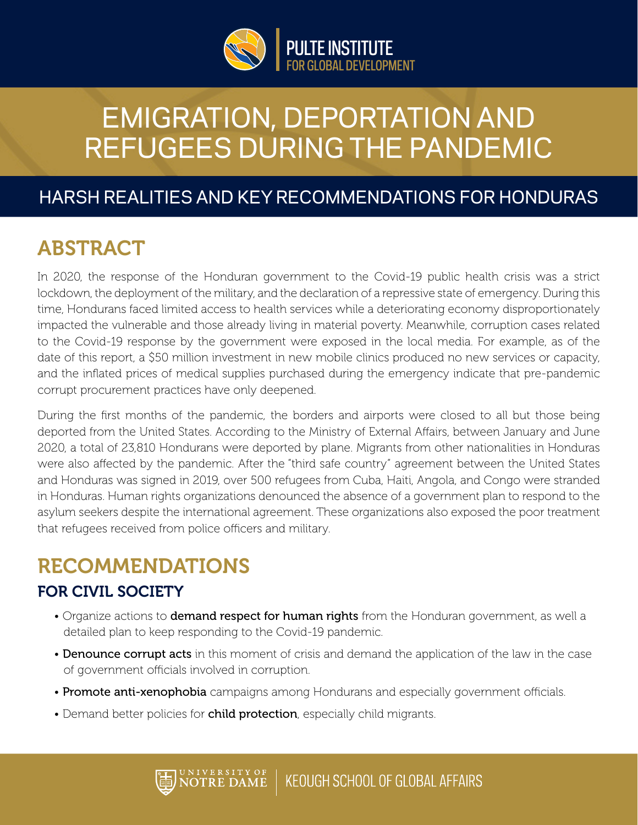

# EMIGRATION, DEPORTATION AND REFUGEES DURING THE PANDEMIC

### HARSH REALITIES AND KEY RECOMMENDATIONS FOR HONDURAS

### ABSTRACT

In 2020, the response of the Honduran government to the Covid-19 public health crisis was a strict lockdown, the deployment of the military, and the declaration of a repressive state of emergency. During this time, Hondurans faced limited access to health services while a deteriorating economy disproportionately impacted the vulnerable and those already living in material poverty. Meanwhile, corruption cases related to the Covid-19 response by the government were exposed in the local media. For example, as of the date of this report, a \$50 million investment in new mobile clinics produced no new services or capacity, and the inflated prices of medical supplies purchased during the emergency indicate that pre-pandemic corrupt procurement practices have only deepened.

During the first months of the pandemic, the borders and airports were closed to all but those being deported from the United States. According to the Ministry of External Affairs, between January and June 2020, a total of 23,810 Hondurans were deported by plane. Migrants from other nationalities in Honduras were also affected by the pandemic. After the "third safe country" agreement between the United States and Honduras was signed in 2019, over 500 refugees from Cuba, Haiti, Angola, and Congo were stranded in Honduras. Human rights organizations denounced the absence of a government plan to respond to the asylum seekers despite the international agreement. These organizations also exposed the poor treatment that refugees received from police officers and military.

## RECOMMENDATIONS

#### FOR CIVIL SOCIETY

- Organize actions to **demand respect for human rights** from the Honduran government, as well a detailed plan to keep responding to the Covid-19 pandemic.
- Denounce corrupt acts in this moment of crisis and demand the application of the law in the case of government officials involved in corruption.
- Promote anti-xenophobia campaigns among Hondurans and especially government officials.
- Demand better policies for child protection, especially child migrants.